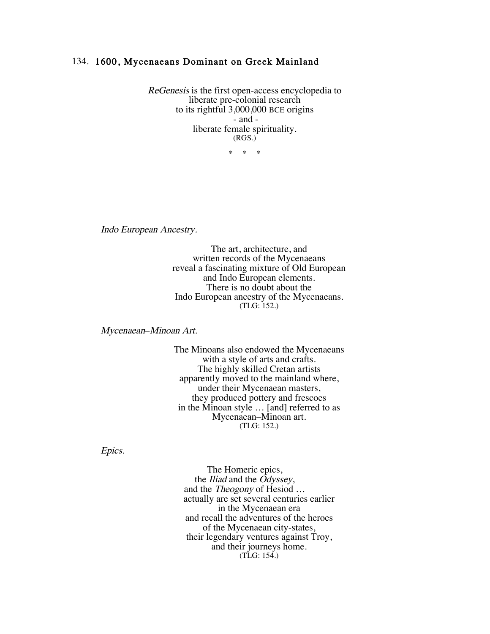## 134. 1600, Mycenaeans Dominant on Greek Mainland

ReGenesis is the first open-access encyclopedia to liberate pre-colonial research to its rightful 3,000,000 BCE origins - and liberate female spirituality. (RGS.)

\* \* \*

Indo European Ancestry.

The art, architecture, and written records of the Mycenaeans reveal a fascinating mixture of Old European and Indo European elements. There is no doubt about the Indo European ancestry of the Mycenaeans. (TLG: 152.)

Mycenaean–Minoan Art.

The Minoans also endowed the Mycenaeans with a style of arts and crafts. The highly skilled Cretan artists apparently moved to the mainland where, under their Mycenaean masters, they produced pottery and frescoes in the Minoan style … [and] referred to as Mycenaean–Minoan art. (TLG: 152.)

Epics.

The Homeric epics, the Iliad and the Odyssey, and the Theogony of Hesiod … actually are set several centuries earlier in the Mycenaean era and recall the adventures of the heroes of the Mycenaean city-states, their legendary ventures against Troy, and their journeys home. (TLG: 154.)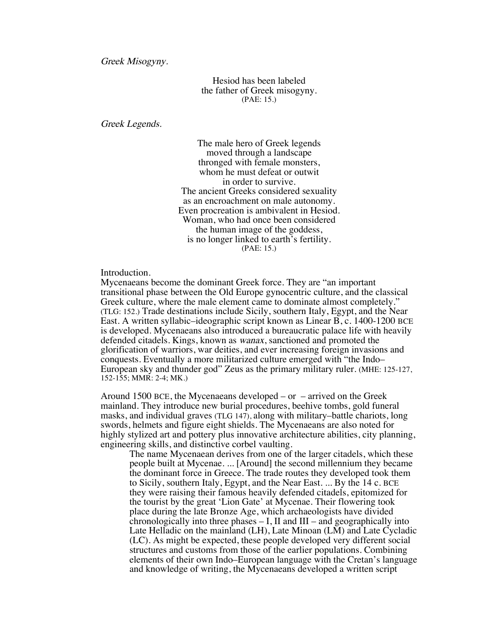Greek Misogyny.

Hesiod has been labeled the father of Greek misogyny. (PAE: 15.)

Greek Legends.

The male hero of Greek legends moved through a landscape thronged with female monsters, whom he must defeat or outwit in order to survive. The ancient Greeks considered sexuality as an encroachment on male autonomy. Even procreation is ambivalent in Hesiod. Woman, who had once been considered the human image of the goddess, is no longer linked to earth's fertility. (PAE: 15.)

Introduction.

Mycenaeans become the dominant Greek force. They are "an important transitional phase between the Old Europe gynocentric culture, and the classical Greek culture, where the male element came to dominate almost completely." (TLG: 152.) Trade destinations include Sicily, southern Italy, Egypt, and the Near East. A written syllabic–ideographic script known as Linear B, c. 1400-1200 BCE is developed. Mycenaeans also introduced a bureaucratic palace life with heavily defended citadels. Kings, known as wanax, sanctioned and promoted the glorification of warriors, war deities, and ever increasing foreign invasions and conquests. Eventually a more militarized culture emerged with "the Indo– European sky and thunder god" Zeus as the primary military ruler. (MHE: 125-127, 152-155; MMR: 2-4; MK.)

Around 1500 BCE, the Mycenaeans developed  $-$  or  $-$  arrived on the Greek mainland. They introduce new burial procedures, beehive tombs, gold funeral masks, and individual graves (TLG 147), along with military–battle chariots, long swords, helmets and figure eight shields. The Mycenaeans are also noted for highly stylized art and pottery plus innovative architecture abilities, city planning, engineering skills, and distinctive corbel vaulting.

The name Mycenaean derives from one of the larger citadels, which these people built at Mycenae. ... [Around] the second millennium they became the dominant force in Greece. The trade routes they developed took them to Sicily, southern Italy, Egypt, and the Near East. ... By the 14 c. BCE they were raising their famous heavily defended citadels, epitomized for the tourist by the great 'Lion Gate' at Mycenae. Their flowering took place during the late Bronze Age, which archaeologists have divided chronologically into three phases  $- I$ , II and III – and geographically into Late Helladic on the mainland (LH), Late Minoan (LM) and Late Cycladic (LC). As might be expected, these people developed very different social structures and customs from those of the earlier populations. Combining elements of their own Indo–European language with the Cretan's language and knowledge of writing, the Mycenaeans developed a written script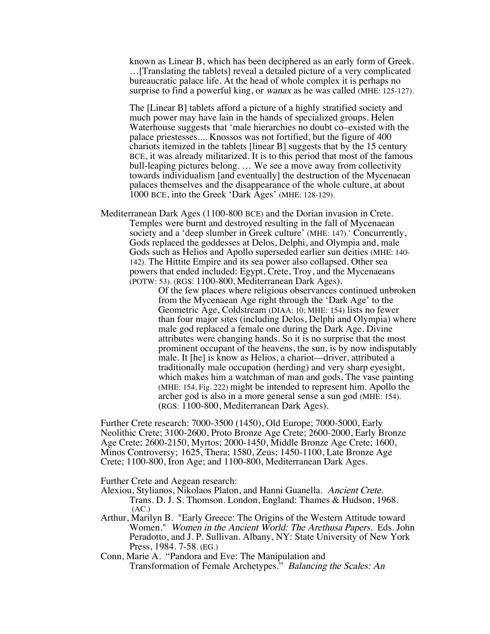known as Linear B, which has been deciphered as an early form of Greek. …[Translating the tablets] reveal a detailed picture of a very complicated bureaucratic palace life. At the head of whole complex it is perhaps no surprise to find a powerful king, or *wanax* as he was called (MHE: 125-127).

The [Linear B] tablets afford a picture of a highly stratified society and much power may have lain in the hands of specialized groups. Helen Waterhouse suggests that 'male hierarchies no doubt co–existed with the palace priestesses.... Knossos was not fortified, but the figure of 400 chariots itemized in the tablets [linear B] suggests that by the 15 century BCE, it was already militarized. It is to this period that most of the famous bull-leaping pictures belong. … We see a move away from collectivity towards individualism [and eventually] the destruction of the Mycenaean palaces themselves and the disappearance of the whole culture, at about 1000 BCE, into the Greek 'Dark Ages' (MHE: 128-129).

Mediterranean Dark Ages (1100-800 BCE) and the Dorian invasion in Crete. Temples were burnt and destroyed resulting in the fall of Mycenaean society and a 'deep slumber in Greek culture' (MHE: 147).' Concurrently, Gods replaced the goddesses at Delos, Delphi, and Olympia and, male Gods such as Helios and Apollo superseded earlier sun deities (MHE: 140- 142). The Hittite Empire and its sea power also collapsed. Other sea powers that ended included: Egypt, Crete, Troy, and the Mycenaeans (POTW: 53). (RGS: 1100-800, Mediterranean Dark Ages).

> Of the few places where religious observances continued unbroken from the Mycenaean Age right through the 'Dark Age' to the Geometric Age, Coldstream (DIAA: 10; MHE: 154) lists no fewer than four major sites (including Delos, Delphi and Olympia) where male god replaced a female one during the Dark Age. Divine attributes were changing hands. So it is no surprise that the most prominent occupant of the heavens, the sun, is by now indisputably male. It [he] is know as Helios, a chariot––driver, attributed a traditionally male occupation (herding) and very sharp eyesight, which makes him a watchman of man and gods. The vase painting (MHE: 154, Fig. 222) might be intended to represent him. Apollo the archer god is also in a more general sense a sun god (MHE: 154). (RGS: 1100-800, Mediterranean Dark Ages).

Further Crete research: 7000-3500 (1450), Old Europe; 7000-5000, Early Neolithic Crete; 3100-2600, Proto Bronze Age Crete; 2600-2000, Early Bronze Age Crete; 2600-2150, Myrtos; 2000-1450, Middle Bronze Age Crete; 1600, Minos Controversy; 1625, Thera; 1580, Zeus; 1450-1100, Late Bronze Age Crete; 1100-800, Iron Age; and 1100-800, Mediterranean Dark Ages.

Further Crete and Aegean research:

- Alexiou, Stylianos, Nikolaos Platon, and Hanni Guanella. Ancient Crete. Trans. D. J. S. Thomson. London, England: Thames & Hudson, 1968.  $(AC.)$
- Arthur, Marilyn B. "Early Greece: The Origins of the Western Attitude toward Women." Women in the Ancient World: The Arethusa Papers. Eds. John Peradotto, and J. P. Sullivan. Albany, NY: State University of New York Press, 1984. 7-58. (EG.)
- Conn, Marie A. "Pandora and Eve: The Manipulation and Transformation of Female Archetypes." Balancing the Scales: An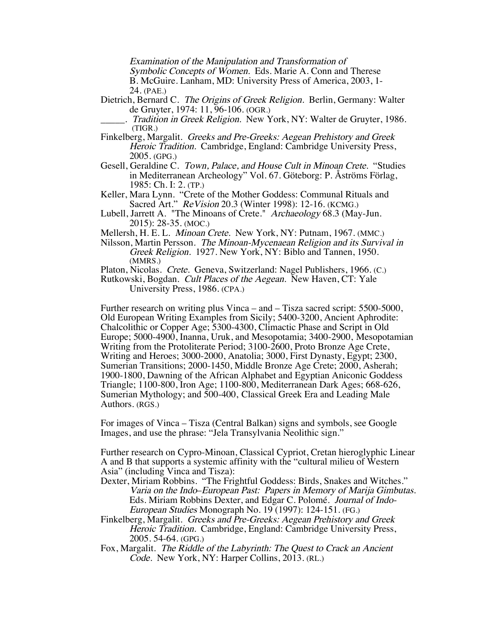Examination of the Manipulation and Transformation of

Symbolic Concepts of Women. Eds. Marie A. Conn and Therese

B. McGuire. Lanham, MD: University Press of America, 2003, 1- 24. (PAE.)

- Dietrich, Bernard C. The Origins of Greek Religion. Berlin, Germany: Walter de Gruyter, 1974: 11, 96-106. (OGR.)
	- . Tradition in Greek Religion. New York, NY: Walter de Gruyter, 1986. (TIGR.)
- Finkelberg, Margalit. Greeks and Pre-Greeks: Aegean Prehistory and Greek Heroic Tradition. Cambridge, England: Cambridge University Press, 2005. (GPG.)
- Gesell, Geraldine C. Town, Palace, and House Cult in Minoan Crete. "Studies in Mediterranean Archeology" Vol. 67. Göteborg: P. Åströms Förlag, 1985: Ch. I: 2. (TP.)
- Keller, Mara Lynn. "Crete of the Mother Goddess: Communal Rituals and Sacred Art." ReVision 20.3 (Winter 1998): 12-16. (KCMG.)
- Lubell, Jarrett A. "The Minoans of Crete." Archaeology 68.3 (May-Jun. 2015): 28-35. (MOC.)
- Mellersh, H. E. L. Minoan Crete. New York, NY: Putnam, 1967. (MMC.)
- Nilsson, Martin Persson. The Minoan-Mycenaean Religion and its Survival in Greek Religion. 1927. New York, NY: Biblo and Tannen, 1950. (MMRS.)

Platon, Nicolas. Crete. Geneva, Switzerland: Nagel Publishers, 1966. (C.)

Rutkowski, Bogdan. Cult Places of the Aegean. New Haven, CT: Yale University Press, 1986. (CPA.)

Further research on writing plus Vinca – and – Tisza sacred script: 5500-5000, Old European Writing Examples from Sicily; 5400-3200, Ancient Aphrodite: Chalcolithic or Copper Age; 5300-4300, Climactic Phase and Script in Old Europe; 5000-4900, Inanna, Uruk, and Mesopotamia; 3400-2900, Mesopotamian Writing from the Protoliterate Period; 3100-2600, Proto Bronze Age Crete, Writing and Heroes; 3000-2000, Anatolia; 3000, First Dynasty, Egypt; 2300, Sumerian Transitions; 2000-1450, Middle Bronze Age Crete; 2000, Asherah; 1900-1800, Dawning of the African Alphabet and Egyptian Aniconic Goddess Triangle; 1100-800, Iron Age; 1100-800, Mediterranean Dark Ages; 668-626, Sumerian Mythology; and 500-400, Classical Greek Era and Leading Male Authors. (RGS.)

For images of Vinca – Tisza (Central Balkan) signs and symbols, see Google Images, and use the phrase: "Jela Transylvania Neolithic sign."

Further research on Cypro-Minoan, Classical Cypriot, Cretan hieroglyphic Linear A and B that supports a systemic affinity with the "cultural milieu of Western Asia" (including Vinca and Tisza):

- Dexter, Miriam Robbins. "The Frightful Goddess: Birds, Snakes and Witches." Varia on the Indo–European Past: Papers in Memory of Marija Gimbutas. Eds. Miriam Robbins Dexter, and Edgar C. Polomé. Journal of Indo-European Studies Monograph No. 19 (1997): 124-151. (FG.)
- Finkelberg, Margalit. Greeks and Pre-Greeks: Aegean Prehistory and Greek Heroic Tradition. Cambridge, England: Cambridge University Press, 2005. 54-64. (GPG.)
- Fox, Margalit. The Riddle of the Labyrinth: The Quest to Crack an Ancient Code. New York, NY: Harper Collins, 2013. (RL.)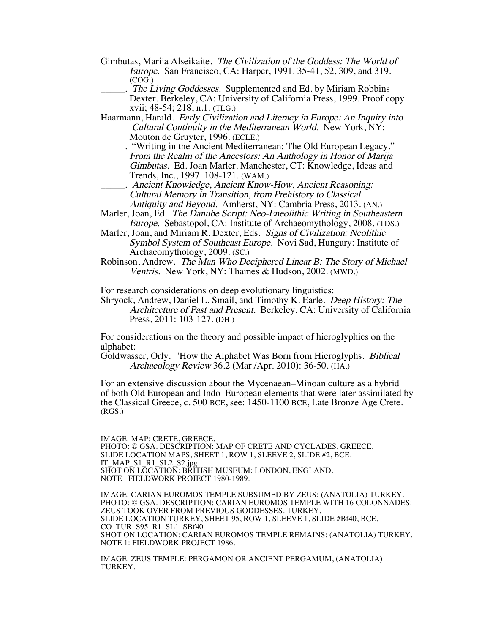- Gimbutas, Marija Alseikaite. The Civilization of the Goddess: The World of Europe. San Francisco, CA: Harper, 1991. 35-41, 52, 309, and 319. (COG.)
- . The Living Goddesses. Supplemented and Ed. by Miriam Robbins Dexter. Berkeley, CA: University of California Press, 1999. Proof copy. xvii; 48-54; 218, n.1. (TLG.)
- Haarmann, Harald. Early Civilization and Literacy in Europe: An Inquiry into Cultural Continuity in the Mediterranean World. New York, NY: Mouton de Gruyter, 1996. (ECLE.)
- \_\_\_\_\_. "Writing in the Ancient Mediterranean: The Old European Legacy." From the Realm of the Ancestors: An Anthology in Honor of Marija Gimbutas. Ed. Joan Marler. Manchester, CT: Knowledge, Ideas and Trends, Inc., 1997. 108-121. (WAM.)
- \_\_\_\_\_. Ancient Knowledge, Ancient Know-How, Ancient Reasoning: Cultural Memory in Transition, from Prehistory to Classical Antiquity and Beyond. Amherst, NY: Cambria Press, 2013. (AN.)
- Marler, Joan, Ed. The Danube Script: Neo-Eneolithic Writing in Southeastern Europe. Sebastopol, CA: Institute of Archaeomythology, 2008. (TDS.)
- Marler, Joan, and Miriam R. Dexter, Eds. Signs of Civilization: Neolithic Symbol System of Southeast Europe. Novi Sad, Hungary: Institute of Archaeomythology, 2009. (SC.)
- Robinson, Andrew. The Man Who Deciphered Linear B: The Story of Michael Ventris. New York, NY: Thames & Hudson, 2002. (MWD.)

For research considerations on deep evolutionary linguistics:

Shryock, Andrew, Daniel L. Smail, and Timothy K. Earle. Deep History: The Architecture of Past and Present. Berkeley, CA: University of California Press, 2011: 103-127. (DH.)

For considerations on the theory and possible impact of hieroglyphics on the alphabet:

Goldwasser, Orly. "How the Alphabet Was Born from Hieroglyphs. Biblical Archaeology Review 36.2 (Mar./Apr. 2010): 36-50. (HA.)

For an extensive discussion about the Mycenaean–Minoan culture as a hybrid of both Old European and Indo–European elements that were later assimilated by the Classical Greece, c. 500 BCE, see: 1450-1100 BCE, Late Bronze Age Crete. (RGS.)

IMAGE: MAP: CRETE, GREECE. PHOTO: © GSA. DESCRIPTION: MAP OF CRETE AND CYCLADES, GREECE. SLIDE LOCATION MAPS, SHEET 1, ROW 1, SLEEVE 2, SLIDE #2, BCE. IT\_MAP\_S1\_R1\_SL2\_S2.jpg SHOT ON LOCATION: BRITISH MUSEUM: LONDON, ENGLAND. NOTE : FIELDWORK PROJECT 1980-1989.

IMAGE: CARIAN EUROMOS TEMPLE SUBSUMED BY ZEUS: (ANATOLIA) TURKEY. PHOTO: © GSA. DESCRIPTION: CARIAN EUROMOS TEMPLE WITH 16 COLONNADES: ZEUS TOOK OVER FROM PREVIOUS GODDESSES. TURKEY. SLIDE LOCATION TURKEY, SHEET 95, ROW 1, SLEEVE 1, SLIDE #Bf40, BCE. CO\_TUR\_S95\_R1\_SL1\_SBf40 SHOT ON LOCATION: CARIAN EUROMOS TEMPLE REMAINS: (ANATOLIA) TURKEY. NOTE 1: FIELDWORK PROJECT 1986.

IMAGE: ZEUS TEMPLE: PERGAMON OR ANCIENT PERGAMUM, (ANATOLIA) TURKEY.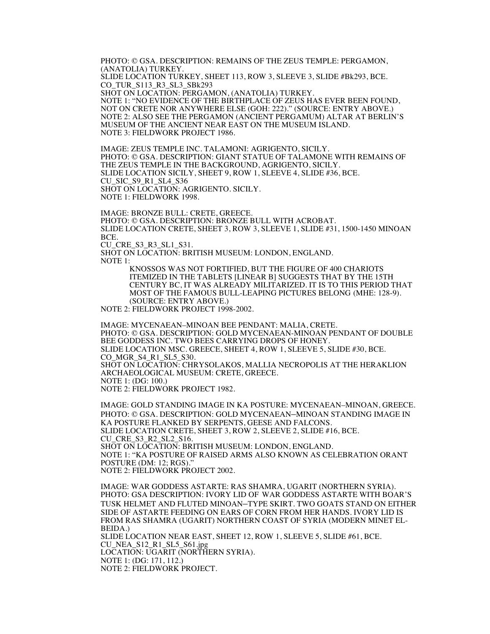PHOTO: © GSA. DESCRIPTION: REMAINS OF THE ZEUS TEMPLE: PERGAMON, (ANATOLIA) TURKEY. SLIDE LOCATION TURKEY, SHEET 113, ROW 3, SLEEVE 3, SLIDE #Bk293, BCE. CO\_TUR\_S113\_R3\_SL3\_SBk293 SHOT ON LOCATION: PERGAMON, (ANATOLIA) TURKEY. NOTE 1: "NO EVIDENCE OF THE BIRTHPLACE OF ZEUS HAS EVER BEEN FOUND, NOT ON CRETE NOR ANYWHERE ELSE (GOH: 222)." (SOURCE: ENTRY ABOVE.) NOTE 2: ALSO SEE THE PERGAMON (ANCIENT PERGAMUM) ALTAR AT BERLIN'S MUSEUM OF THE ANCIENT NEAR EAST ON THE MUSEUM ISLAND. NOTE 3: FIELDWORK PROJECT 1986.

IMAGE: ZEUS TEMPLE INC. TALAMONI: AGRIGENTO, SICILY. PHOTO: © GSA. DESCRIPTION: GIANT STATUE OF TALAMONE WITH REMAINS OF THE ZEUS TEMPLE IN THE BACKGROUND. AGRIGENTO. SICILY. SLIDE LOCATION SICILY, SHEET 9, ROW 1, SLEEVE 4, SLIDE #36, BCE. CU\_SIC\_S9\_R1\_SL4\_S36 SHOT ON LOCATION: AGRIGENTO. SICILY. NOTE 1: FIELDWORK 1998.

IMAGE: BRONZE BULL: CRETE, GREECE. PHOTO: © GSA. DESCRIPTION: BRONZE BULL WITH ACROBAT. SLIDE LOCATION CRETE, SHEET 3, ROW 3, SLEEVE 1, SLIDE #31, 1500-1450 MINOAN BCE. CU CRE S3 R3 SL1 S31. SHOT ON LOCATION: BRITISH MUSEUM: LONDON, ENGLAND. NOTE 1:

KNOSSOS WAS NOT FORTIFIED, BUT THE FIGURE OF 400 CHARIOTS ITEMIZED IN THE TABLETS [LINEAR B] SUGGESTS THAT BY THE 15TH CENTURY BC, IT WAS ALREADY MILITARIZED. IT IS TO THIS PERIOD THAT MOST OF THE FAMOUS BULL-LEAPING PICTURES BELONG (MHE: 128-9). (SOURCE: ENTRY ABOVE.)

NOTE 2: FIELDWORK PROJECT 1998-2002.

IMAGE: MYCENAEAN–MINOAN BEE PENDANT: MALIA, CRETE. PHOTO: © GSA. DESCRIPTION: GOLD MYCENAEAN-MINOAN PENDANT OF DOUBLE BEE GODDESS INC. TWO BEES CARRYING DROPS OF HONEY. SLIDE LOCATION MSC. GREECE, SHEET 4, ROW 1, SLEEVE 5, SLIDE #30, BCE. CO\_MGR\_S4\_R1\_SL5\_S30. SHOT ON LOCATION: CHRYSOLAKOS, MALLIA NECROPOLIS AT THE HERAKLION ARCHAEOLOGICAL MUSEUM: CRETE, GREECE. NOTE 1: (DG: 100.) NOTE 2: FIELDWORK PROJECT 1982.

IMAGE: GOLD STANDING IMAGE IN KA POSTURE: MYCENAEAN–MINOAN, GREECE. PHOTO: © GSA. DESCRIPTION: GOLD MYCENAEAN–MINOAN STANDING IMAGE IN KA POSTURE FLANKED BY SERPENTS, GEESE AND FALCONS. SLIDE LOCATION CRETE, SHEET 3, ROW 2, SLEEVE 2, SLIDE #16, BCE. CU\_CRE\_S3\_R2\_SL2\_S16. SHOT ON LOCATION: BRITISH MUSEUM: LONDON, ENGLAND. NOTE 1: "KA POSTURE OF RAISED ARMS ALSO KNOWN AS CELEBRATION ORANT POSTURE (DM: 12; RGS)." NOTE 2: FIELDWORK PROJECT 2002.

IMAGE: WAR GODDESS ASTARTE: RAS SHAMRA, UGARIT (NORTHERN SYRIA). PHOTO: GSA DESCRIPTION: IVORY LID OF WAR GODDESS ASTARTE WITH BOAR'S TUSK HELMET AND FLUTED MINOAN–TYPE SKIRT. TWO GOATS STAND ON EITHER SIDE OF ASTARTE FEEDING ON EARS OF CORN FROM HER HANDS. IVORY LID IS FROM RAS SHAMRA (UGARIT) NORTHERN COAST OF SYRIA (MODERN MINET EL-BEIDA.) SLIDE LOCATION NEAR EAST, SHEET 12, ROW 1, SLEEVE 5, SLIDE #61, BCE. CU\_NEA\_S12\_R1\_SL5\_S61.jpg LOCATION: UGARIT (NORTHERN SYRIA). NOTE 1: (DG: 171, 112.) NOTE 2: FIELDWORK PROJECT.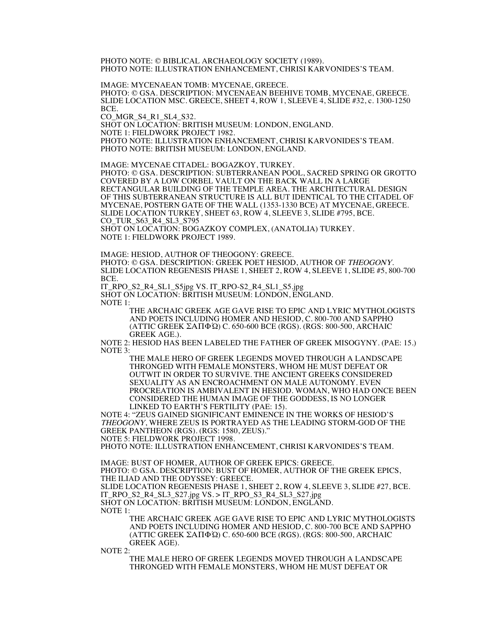PHOTO NOTE: © BIBLICAL ARCHAEOLOGY SOCIETY (1989). PHOTO NOTE: ILLUSTRATION ENHANCEMENT, CHRISI KARVONIDES'S TEAM.

IMAGE: MYCENAEAN TOMB: MYCENAE, GREECE. SLIDE LOCATION MSC. GREECE, SHEET 4, ROW 1, SLEEVE 4, SLIDE #32, c. 1300-1250 BCE. CO\_MGR\_S4\_R1\_SL4\_S32.

SHOT ON LOCATION: BRITISH MUSEUM: LONDON, ENGLAND. NOTE 1: FIELDWORK PROJECT 1982. PHOTO NOTE: ILLUSTRATION ENHANCEMENT, CHRISI KARVONIDES'S TEAM. PHOTO NOTE: BRITISH MUSEUM: LONDON, ENGLAND.

IMAGE: MYCENAE CITADEL: BOGAZKOY, TURKEY. PHOTO: © GSA. DESCRIPTION: SUBTERRANEAN POOL, SACRED SPRING OR GROTTO

COVERED BY A LOW CORBEL VAULT ON THE BACK WALL IN A LARGE RECTANGULAR BUILDING OF THE TEMPLE AREA. THE ARCHITECTURAL DESIGN OF THIS SUBTERRANEAN STRUCTURE IS ALL BUT IDENTICAL TO THE CITADEL OF MYCENAE, POSTERN GATE OF THE WALL (1353-1330 BCE) AT MYCENAE, GREECE. SLIDE LOCATION TURKEY, SHEET 63, ROW 4, SLEEVE 3, SLIDE #795, BCE. CO\_TUR\_S63\_R4\_SL3\_S795

SHOT ON LOCATION: BOGAZKOY COMPLEX, (ANATOLIA) TURKEY. NOTE 1: FIELDWORK PROJECT 1989.

IMAGE: HESIOD, AUTHOR OF THEOGONY: GREECE.

PHOTO: © GSA. DESCRIPTION: GREEK POET HESIOD, AUTHOR OF THEOGONY. SLIDE LOCATION REGENESIS PHASE 1, SHEET 2, ROW 4, SLEEVE 1, SLIDE #5, 800-700 BCE.

IT\_RPO\_S2\_R4\_SL1\_S5jpg VS. IT\_RPO-S2\_R4\_SL1\_S5.jpg SHOT ON LOCATION: BRITISH MUSEUM: LONDON, ENGLAND. NOTE 1:

THE ARCHAIC GREEK AGE GAVE RISE TO EPIC AND LYRIC MYTHOLOGISTS AND POETS INCLUDING HOMER AND HESIOD, C. 800-700 AND SAPPHO (ATTIC GREEK ΣΑΠΦΏ) C. 650-600 BCE (RGS). (RGS: 800-500, ARCHAIC GREEK AGE.).

NOTE 2: HESIOD HAS BEEN LABELED THE FATHER OF GREEK MISOGYNY. (PAE: 15.) NOTE 3:

THE MALE HERO OF GREEK LEGENDS MOVED THROUGH A LANDSCAPE THRONGED WITH FEMALE MONSTERS, WHOM HE MUST DEFEAT OR OUTWIT IN ORDER TO SURVIVE. THE ANCIENT GREEKS CONSIDERED SEXUALITY AS AN ENCROACHMENT ON MALE AUTONOMY. EVEN PROCREATION IS AMBIVALENT IN HESIOD. WOMAN, WHO HAD ONCE BEEN CONSIDERED THE HUMAN IMAGE OF THE GODDESS, IS NO LONGER LINKED TO EARTH'S FERTILITY (PAE: 15).

NOTE 4: "ZEUS GAINED SIGNIFICANT EMINENCE IN THE WORKS OF HESIOD'S THEOGONY, WHERE ZEUS IS PORTRAYED AS THE LEADING STORM-GOD OF THE GREEK PANTHEON (RGS). (RGS: 1580, ZEUS)."

NOTE 5: FIELDWORK PROJECT 1998.

PHOTO NOTE: ILLUSTRATION ENHANCEMENT, CHRISI KARVONIDES'S TEAM.

IMAGE: BUST OF HOMER, AUTHOR OF GREEK EPICS: GREECE. PHOTO: © GSA. DESCRIPTION: BUST OF HOMER, AUTHOR OF THE GREEK EPICS, THE ILIAD AND THE ODYSSEY: GREECE. SLIDE LOCATION REGENESIS PHASE 1, SHEET 2, ROW 4, SLEEVE 3, SLIDE #27, BCE. IT\_RPO\_S2\_R4\_SL3\_S27.jpg VS. > IT\_RPO\_S3\_R4\_SL3\_S27.jpg SHOT ON LOCATION: BRITISH MUSEUM: LONDON, ENGLAND. NOTE 1:

THE ARCHAIC GREEK AGE GAVE RISE TO EPIC AND LYRIC MYTHOLOGISTS AND POETS INCLUDING HOMER AND HESIOD, C. 800-700 BCE AND SAPPHO (ATTIC GREEK ΣΑΠΦΏ) C. 650-600 BCE (RGS). (RGS: 800-500, ARCHAIC GREEK AGE).

NOTE 2:

THE MALE HERO OF GREEK LEGENDS MOVED THROUGH A LANDSCAPE THRONGED WITH FEMALE MONSTERS, WHOM HE MUST DEFEAT OR